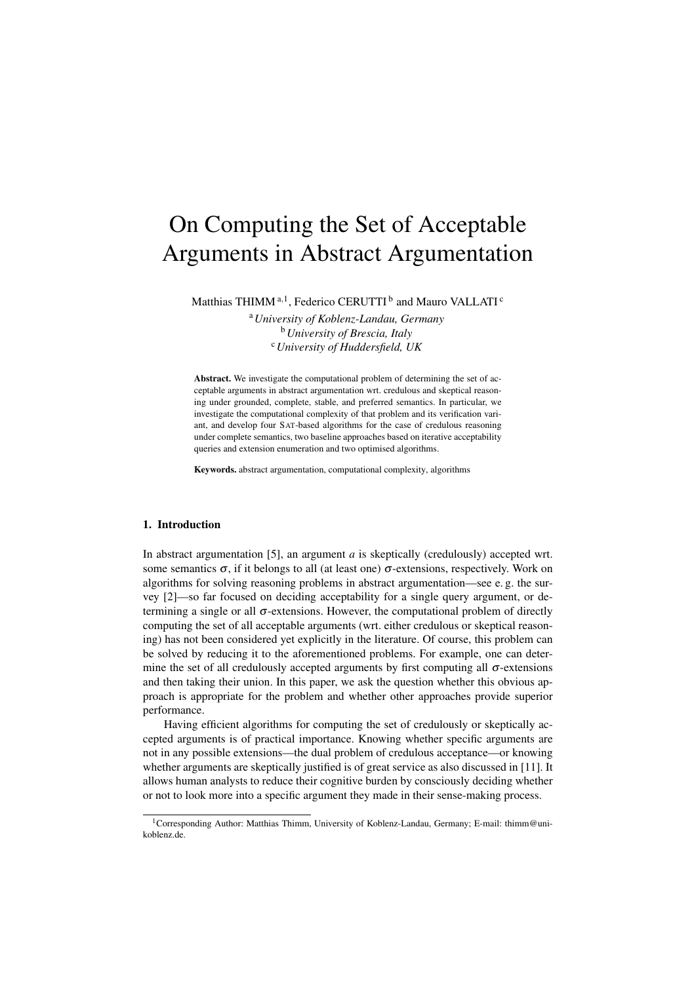# On Computing the Set of Acceptable Arguments in Abstract Argumentation

Matthias THIMM <sup>a, 1</sup>, Federico CERUTTI <sup>b</sup> and Mauro VALLATI <sup>c</sup>

<sup>a</sup>*University of Koblenz-Landau, Germany* <sup>b</sup>*University of Brescia, Italy* <sup>c</sup>*University of Huddersfield, UK*

Abstract. We investigate the computational problem of determining the set of acceptable arguments in abstract argumentation wrt. credulous and skeptical reasoning under grounded, complete, stable, and preferred semantics. In particular, we investigate the computational complexity of that problem and its verification variant, and develop four SAT-based algorithms for the case of credulous reasoning under complete semantics, two baseline approaches based on iterative acceptability queries and extension enumeration and two optimised algorithms.

Keywords. abstract argumentation, computational complexity, algorithms

## 1. Introduction

In abstract argumentation [5], an argument *a* is skeptically (credulously) accepted wrt. some semantics  $\sigma$ , if it belongs to all (at least one)  $\sigma$ -extensions, respectively. Work on algorithms for solving reasoning problems in abstract argumentation—see e. g. the survey [2]—so far focused on deciding acceptability for a single query argument, or determining a single or all  $\sigma$ -extensions. However, the computational problem of directly computing the set of all acceptable arguments (wrt. either credulous or skeptical reasoning) has not been considered yet explicitly in the literature. Of course, this problem can be solved by reducing it to the aforementioned problems. For example, one can determine the set of all credulously accepted arguments by first computing all  $\sigma$ -extensions and then taking their union. In this paper, we ask the question whether this obvious approach is appropriate for the problem and whether other approaches provide superior performance.

Having efficient algorithms for computing the set of credulously or skeptically accepted arguments is of practical importance. Knowing whether specific arguments are not in any possible extensions—the dual problem of credulous acceptance—or knowing whether arguments are skeptically justified is of great service as also discussed in [11]. It allows human analysts to reduce their cognitive burden by consciously deciding whether or not to look more into a specific argument they made in their sense-making process.

<sup>&</sup>lt;sup>1</sup>Corresponding Author: Matthias Thimm, University of Koblenz-Landau, Germany; E-mail: thimm@unikoblenz.de.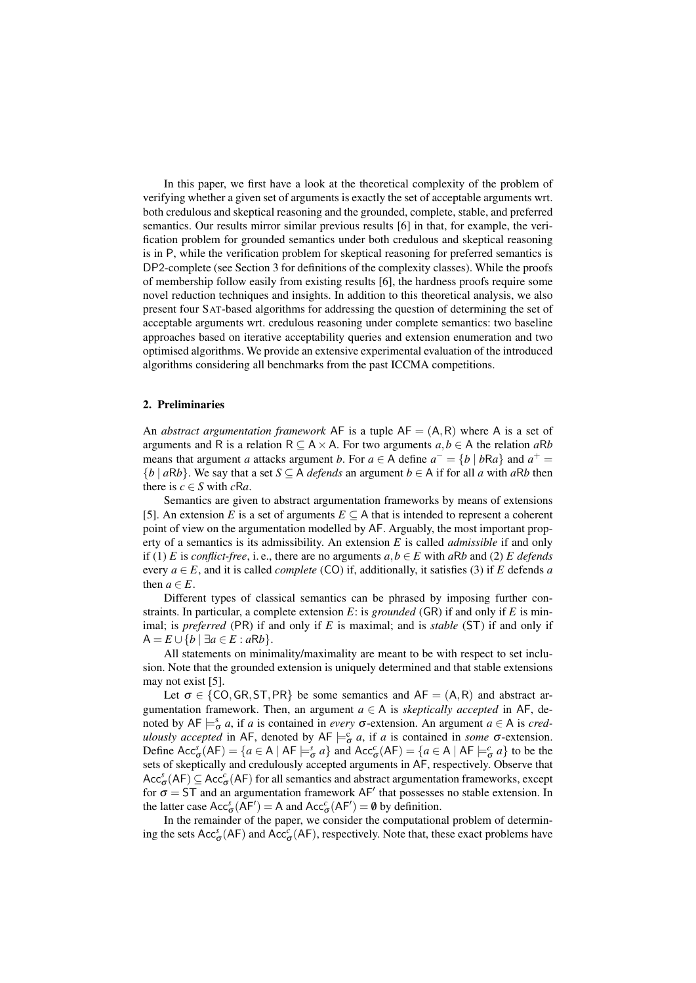In this paper, we first have a look at the theoretical complexity of the problem of verifying whether a given set of arguments is exactly the set of acceptable arguments wrt. both credulous and skeptical reasoning and the grounded, complete, stable, and preferred semantics. Our results mirror similar previous results [6] in that, for example, the verification problem for grounded semantics under both credulous and skeptical reasoning is in P, while the verification problem for skeptical reasoning for preferred semantics is DP2-complete (see Section 3 for definitions of the complexity classes). While the proofs of membership follow easily from existing results [6], the hardness proofs require some novel reduction techniques and insights. In addition to this theoretical analysis, we also present four SAT-based algorithms for addressing the question of determining the set of acceptable arguments wrt. credulous reasoning under complete semantics: two baseline approaches based on iterative acceptability queries and extension enumeration and two optimised algorithms. We provide an extensive experimental evaluation of the introduced algorithms considering all benchmarks from the past ICCMA competitions.

## 2. Preliminaries

An *abstract argumentation framework* AF is a tuple  $AF = (A, R)$  where A is a set of arguments and R is a relation  $R \subseteq A \times A$ . For two arguments  $a, b \in A$  the relation  $aRb$ means that argument *a* attacks argument *b*. For  $a \in A$  define  $a^- = \{b \mid bRa\}$  and  $a^+ =$  ${b \mid aRb}$ . We say that a set *S* ⊆ A *defends* an argument *b* ∈ A if for all *a* with *aRb* then there is  $c \in S$  with  $cRa$ .

Semantics are given to abstract argumentation frameworks by means of extensions [5]. An extension *E* is a set of arguments  $E \subseteq A$  that is intended to represent a coherent point of view on the argumentation modelled by AF. Arguably, the most important property of a semantics is its admissibility. An extension *E* is called *admissible* if and only if (1) *E* is *conflict-free*, i. e., there are no arguments  $a, b \in E$  with  $aRb$  and (2) *E* defends every  $a \in E$ , and it is called *complete* (CO) if, additionally, it satisfies (3) if *E* defends *a* then  $a \in E$ .

Different types of classical semantics can be phrased by imposing further constraints. In particular, a complete extension *E*: is *grounded* (GR) if and only if *E* is minimal; is *preferred* (PR) if and only if *E* is maximal; and is *stable* (ST) if and only if  $A = E \cup \{b \mid \exists a \in E : aRb\}.$ 

All statements on minimality/maximality are meant to be with respect to set inclusion. Note that the grounded extension is uniquely determined and that stable extensions may not exist [5].

Let  $\sigma \in \{CO, GR, ST, PR\}$  be some semantics and  $AF = (A, R)$  and abstract argumentation framework. Then, an argument  $a \in A$  is *skeptically accepted* in AF, denoted by  $AF \models^s_{\sigma} a$ , if *a* is contained in *every*  $\sigma$ -extension. An argument  $a \in A$  is *credulously accepted* in AF, denoted by AF  $\models^c_{\sigma} a$ , if *a* is contained in *some*  $\sigma$ -extension. Define  $Acc^s_{\sigma}(AF) = \{a \in A \mid AF \models^s_{\sigma} a\}$  and  $Acc^c_{\sigma}(AF) = \{a \in A \mid AF \models^c_{\sigma} a\}$  to be the sets of skeptically and credulously accepted arguments in AF, respectively. Observe that  $Acc^s_{\sigma}(AF) \subseteq Acc^c_{\sigma}(AF)$  for all semantics and abstract argumentation frameworks, except for  $\sigma = ST$  and an argumentation framework AF' that possesses no stable extension. In the latter case  $Acc^s_{\sigma}(AF') = A$  and  $Acc^c_{\sigma}(AF') = \emptyset$  by definition.

In the remainder of the paper, we consider the computational problem of determining the sets  $Acc^s_{\sigma}(AF)$  and  $Acc^c_{\sigma}(AF)$ , respectively. Note that, these exact problems have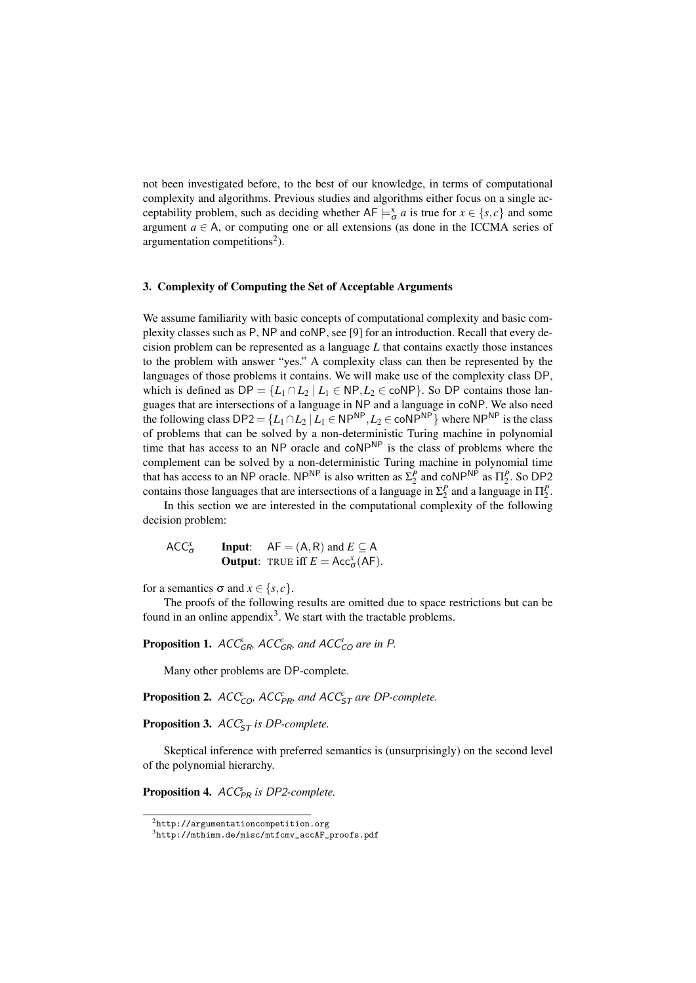not been investigated before, to the best of our knowledge, in terms of computational complexity and algorithms. Previous studies and algorithms either focus on a single acceptability problem, such as deciding whether  $AF \models_{\sigma}^x a$  is true for  $x \in \{s, c\}$  and some argument  $a \in A$ , or computing one or all extensions (as done in the ICCMA series of argumentation competitions<sup>2</sup>).

# 3. Complexity of Computing the Set of Acceptable Arguments

We assume familiarity with basic concepts of computational complexity and basic complexity classes such as P, NP and coNP, see [9] for an introduction. Recall that every decision problem can be represented as a language *L* that contains exactly those instances to the problem with answer "yes." A complexity class can then be represented by the languages of those problems it contains. We will make use of the complexity class DP, which is defined as  $DP = \{L_1 \cap L_2 \mid L_1 \in NP, L_2 \in \text{coNP}\}\)$ . So DP contains those languages that are intersections of a language in NP and a language in coNP. We also need the following class  $DP2 = \{L_1 \cap L_2 \mid L_1 \in NP^{NP}, L_2 \in \text{coNP}^{NP}\}$  where  $NP^{NP}$  is the class of problems that can be solved by a non-deterministic Turing machine in polynomial time that has access to an NP oracle and coNP<sup>NP</sup> is the class of problems where the complement can be solved by a non-deterministic Turing machine in polynomial time that has access to an NP oracle. NP<sup>NP</sup> is also written as  $\Sigma_2^P$  and coNP<sup>NP</sup> as  $\Pi_2^P$ . So DP2 contains those languages that are intersections of a language in  $\Sigma_2^P$  and a language in  $\Pi_2^P$ .

In this section we are interested in the computational complexity of the following decision problem:

ACC*<sup>x</sup>* σ **Input:**  $AF = (A, R)$  and  $E \subseteq A$ **Output:** TRUE iff  $E = Acc^x_{\sigma}(AF)$ .

for a semantics  $\sigma$  and  $x \in \{s, c\}$ .

The proofs of the following results are omitted due to space restrictions but can be found in an online appendix<sup>3</sup>. We start with the tractable problems.

Proposition 1.  $ACC_{GR}^c$ ,  $ACC_{GR}^c$ , and  $ACC_{CO}^s$  are in P.

Many other problems are DP-complete.

**Proposition 2.**  $ACC_{CO}^c$ ,  $ACC_{PR}^c$ , and  $ACC_{ST}^c$  are DP-complete.

Proposition 3.  $ACC_{ST}^s$  *is DP-complete.* 

Skeptical inference with preferred semantics is (unsurprisingly) on the second level of the polynomial hierarchy.

Proposition 4.  $ACC_{PR}$  is DP2-complete.

 $2$ http://argumentationcompetition.org

<sup>3</sup>http://mthimm.de/misc/mtfcmv\_accAF\_proofs.pdf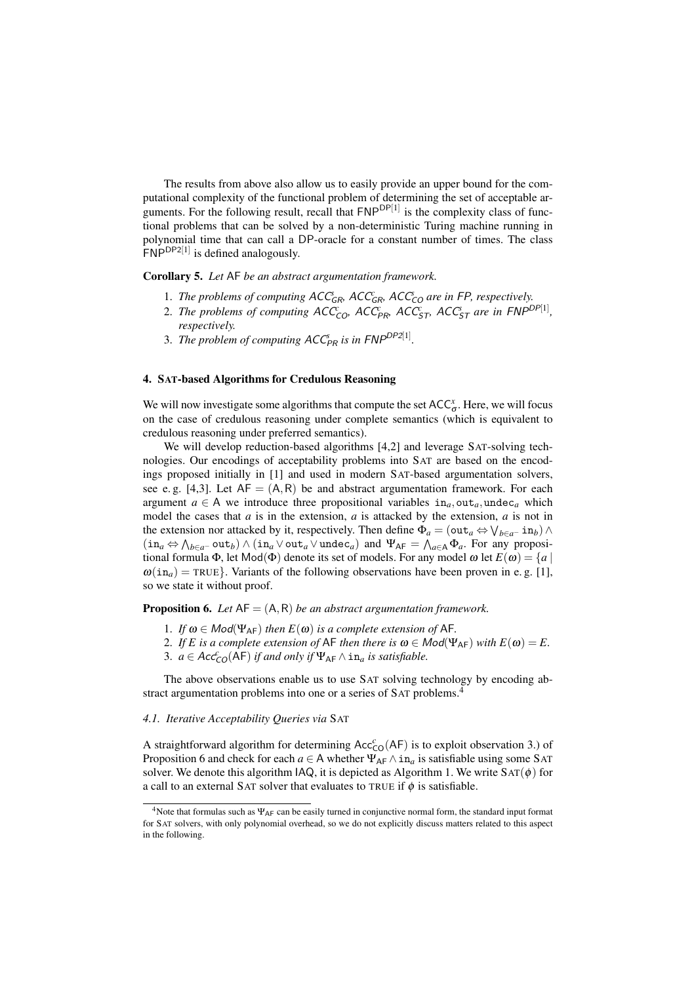The results from above also allow us to easily provide an upper bound for the computational complexity of the functional problem of determining the set of acceptable arguments. For the following result, recall that  $\mathsf{FNP}^{\mathsf{DP}[1]}$  is the complexity class of functional problems that can be solved by a non-deterministic Turing machine running in polynomial time that can call a DP-oracle for a constant number of times. The class  $FNP<sup>DP2[1]</sup>$  is defined analogously.

Corollary 5. *Let* AF *be an abstract argumentation framework.*

- 1. *The problems of computing*  $ACC_{GR}$ ,  $ACC_{GR}$ ,  $ACC_{CO}$  are in FP, respectively.
- 2. *The problems of computing*  $ACC_{CO}$ ,  $ACC_{PR}$ ,  $ACC_{ST}$ ,  $ACC_{ST}$  are in  $FNP^{DP[1]}$ , *respectively.*
- 3. *The problem of computing*  $ACC_{PR}$  *is in*  $FNP^{DP2[1]}$ *.*

# 4. SAT-based Algorithms for Credulous Reasoning

We will now investigate some algorithms that compute the set  $ACC^x_{\sigma}$ . Here, we will focus on the case of credulous reasoning under complete semantics (which is equivalent to credulous reasoning under preferred semantics).

We will develop reduction-based algorithms [4,2] and leverage SAT-solving technologies. Our encodings of acceptability problems into SAT are based on the encodings proposed initially in [1] and used in modern SAT-based argumentation solvers, see e.g. [4,3]. Let  $AF = (A, R)$  be and abstract argumentation framework. For each argument  $a \in A$  we introduce three propositional variables  $in_a$ , out<sub>a</sub>, undec<sub>a</sub> which model the cases that *a* is in the extension, *a* is attacked by the extension, *a* is not in the extension nor attacked by it, respectively. Then define  $\Phi_a = (\text{out}_a \Leftrightarrow \bigvee_{b \in a^-} \text{in}_b) \wedge$  $(in_a \Leftrightarrow \bigwedge_{b \in a^-} out_b) \wedge (in_a \vee out_a \vee under_a)$  and  $\Psi_{AF} = \bigwedge_{a \in A} \Phi_a$ . For any propositional formula  $\Phi$ , let Mod( $\Phi$ ) denote its set of models. For any model  $\omega$  let  $E(\omega) = \{a \mid$  $\omega(i n_a)$  = TRUE}. Variants of the following observations have been proven in e.g. [1], so we state it without proof.

Proposition 6. *Let* AF = (A,R) *be an abstract argumentation framework.*

- 1. *If*  $\omega \in Mod(\Psi_{AF})$  *then*  $E(\omega)$  *is a complete extension of* AF.
- 2. *If E* is a complete extension of AF then there is  $\omega \in Mod(\Psi_{AF})$  *with*  $E(\omega) = E$ .
- 3.  $a \in Acc_{CO}^c(AF)$  *if and only if*  $\Psi_{AF} \wedge \text{in}_a$  *is satisfiable.*

The above observations enable us to use SAT solving technology by encoding abstract argumentation problems into one or a series of SAT problems.<sup>4</sup>

# *4.1. Iterative Acceptability Queries via* SAT

A straightforward algorithm for determining  $Acc_{CO}^{c}(AF)$  is to exploit observation 3.) of Proposition 6 and check for each  $a \in A$  whether  $\Psi_{AF} \wedge \text{in}_a$  is satisfiable using some SAT solver. We denote this algorithm IAQ, it is depicted as Algorithm 1. We write  $SAT(\phi)$  for a call to an external SAT solver that evaluates to TRUE if  $\phi$  is satisfiable.

<sup>&</sup>lt;sup>4</sup>Note that formulas such as  $\Psi_{AF}$  can be easily turned in conjunctive normal form, the standard input format for SAT solvers, with only polynomial overhead, so we do not explicitly discuss matters related to this aspect in the following.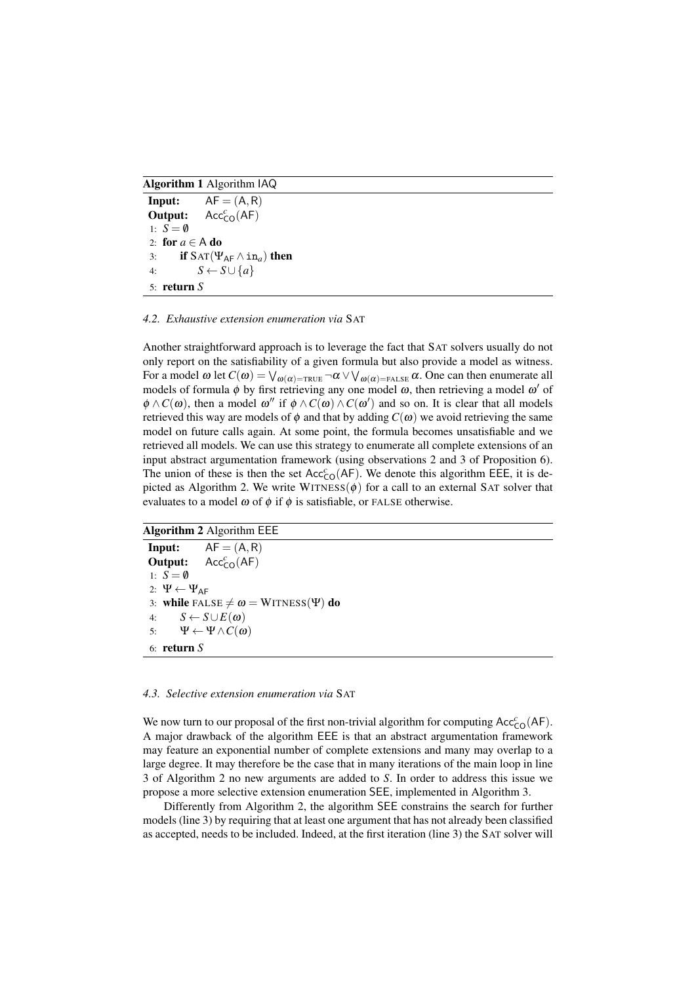Algorithm 1 Algorithm IAQ

```
Input: AF = (A, R)Output:
               Acc^c_{CO}(AF)1: S = \emptyset2: for a \in A do
3: if \text{SAT}(\Psi_{\text{AF}} \wedge \text{in}_a) then
4: S \leftarrow S \cup \{a\}5: return S
```
#### *4.2. Exhaustive extension enumeration via* SAT

Another straightforward approach is to leverage the fact that SAT solvers usually do not only report on the satisfiability of a given formula but also provide a model as witness. For a model  $\omega$  let  $C(\omega) = \bigvee_{\omega(\alpha) = \text{TRUE}} \neg \alpha \vee \bigvee_{\omega(\alpha) = \text{FALSE}} \alpha$ . One can then enumerate all models of formula  $\phi$  by first retrieving any one model  $\omega$ , then retrieving a model  $\omega'$  of  $\phi \wedge C(\omega)$ , then a model  $\omega''$  if  $\phi \wedge C(\omega) \wedge C(\omega')$  and so on. It is clear that all models retrieved this way are models of  $\phi$  and that by adding  $C(\omega)$  we avoid retrieving the same model on future calls again. At some point, the formula becomes unsatisfiable and we retrieved all models. We can use this strategy to enumerate all complete extensions of an input abstract argumentation framework (using observations 2 and 3 of Proposition 6). The union of these is then the set  $Acc^c_{CO}(AF)$ . We denote this algorithm EEE, it is depicted as Algorithm 2. We write WITNESS( $\phi$ ) for a call to an external SAT solver that evaluates to a model  $\omega$  of  $\phi$  if  $\phi$  is satisfiable, or FALSE otherwise.

Algorithm 2 Algorithm EEE

**Input:**  $AF = (A, R)$ Output:  $Acc^c_{CO}(AF)$ 1:  $S = \emptyset$ 2:  $\Psi \leftarrow \Psi_{AF}$ 3: while FALSE  $\neq \omega = W$ ITNESS(Ψ) do 4:  $S \leftarrow S \cup E(\omega)$ 5: Ψ ← Ψ ∧  $C(\omega)$ 6: return *S*

# *4.3. Selective extension enumeration via* SAT

We now turn to our proposal of the first non-trivial algorithm for computing  $Acc^c_{CO}(AF)$ . A major drawback of the algorithm EEE is that an abstract argumentation framework may feature an exponential number of complete extensions and many may overlap to a large degree. It may therefore be the case that in many iterations of the main loop in line 3 of Algorithm 2 no new arguments are added to *S*. In order to address this issue we propose a more selective extension enumeration SEE, implemented in Algorithm 3.

Differently from Algorithm 2, the algorithm SEE constrains the search for further models (line 3) by requiring that at least one argument that has not already been classified as accepted, needs to be included. Indeed, at the first iteration (line 3) the SAT solver will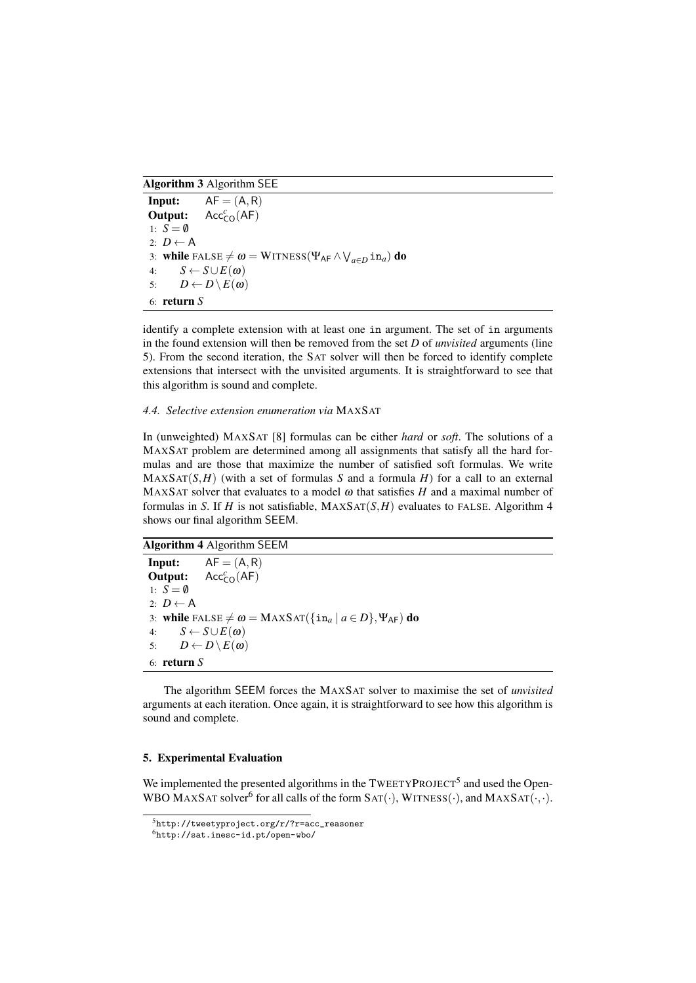Algorithm 3 Algorithm SEE

```
Input: AF = (A, R)Output:
                  Acc<sub>CO</sub><sup>c</sup>(AF)1: S = \emptyset2: D \leftarrow A3: while FALSE \neq \omega = \text{WITNESS}(\Psi_{\textsf{AF}} \wedge \bigvee_{a \in D} \texttt{in}_a) do
4: S \leftarrow S \cup E(\omega)5: D \leftarrow D \setminus E(\omega)6: return S
```
identify a complete extension with at least one in argument. The set of in arguments in the found extension will then be removed from the set *D* of *unvisited* arguments (line 5). From the second iteration, the SAT solver will then be forced to identify complete extensions that intersect with the unvisited arguments. It is straightforward to see that this algorithm is sound and complete.

# *4.4. Selective extension enumeration via* MAXSAT

In (unweighted) MAXSAT [8] formulas can be either *hard* or *soft*. The solutions of a MAXSAT problem are determined among all assignments that satisfy all the hard formulas and are those that maximize the number of satisfied soft formulas. We write  $MAXSAT(S, H)$  (with a set of formulas *S* and a formula *H*) for a call to an external MAXSAT solver that evaluates to a model  $\omega$  that satisfies  $H$  and a maximal number of formulas in *S*. If *H* is not satisfiable,  $MAXSAT(S, H)$  evaluates to FALSE. Algorithm 4 shows our final algorithm SEEM.

Algorithm 4 Algorithm SEEM

**Input:**  $AF = (A, R)$ Output:  $Acc^c_{CO}(AF)$ 1:  $S = \emptyset$ 2:  $D \leftarrow A$ 3: while FALSE  $\neq \omega = \text{MAXSAT}(\{\text{in}_a \mid a \in D\}, \Psi_{\text{AF}})$  do 4:  $S \leftarrow S \cup E(\omega)$ 5:  $D \leftarrow D \setminus E(\omega)$ 6: return *S*

The algorithm SEEM forces the MAXSAT solver to maximise the set of *unvisited* arguments at each iteration. Once again, it is straightforward to see how this algorithm is sound and complete.

# 5. Experimental Evaluation

We implemented the presented algorithms in the  $TWEETYPROJECT<sup>5</sup>$  and used the Open-WBO MAXSAT solver<sup>6</sup> for all calls of the form  $SAT(\cdot)$ , WITNESS( $\cdot$ ), and MAXSAT( $\cdot$ , $\cdot$ ).

<sup>5</sup>http://tweetyproject.org/r/?r=acc\_reasoner

<sup>6</sup>http://sat.inesc-id.pt/open-wbo/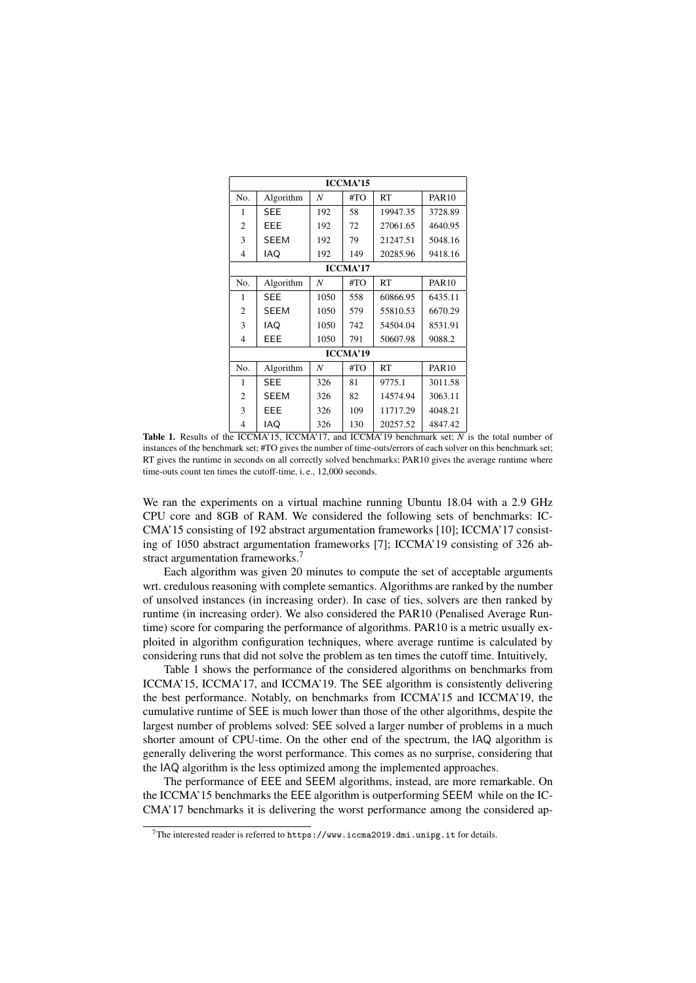| <b>ICCMA'15</b> |             |      |     |           |              |
|-----------------|-------------|------|-----|-----------|--------------|
| No.             | Algorithm   | N    | #TO | <b>RT</b> | <b>PAR10</b> |
| 1               | <b>SEE</b>  | 192  | 58  | 19947.35  | 3728.89      |
| $\overline{c}$  | EEE         | 192  | 72  | 27061.65  | 4640.95      |
| 3               | <b>SEEM</b> | 192  | 79  | 21247.51  | 5048.16      |
| $\overline{4}$  | IAQ         | 192  | 149 | 20285.96  | 9418.16      |
| <b>ICCMA'17</b> |             |      |     |           |              |
| No.             | Algorithm   | N    | #TO | RT        | <b>PAR10</b> |
| 1               | <b>SEE</b>  | 1050 | 558 | 60866.95  | 6435.11      |
| $\overline{2}$  | <b>SEEM</b> | 1050 | 579 | 55810.53  | 6670.29      |
| 3               | IAQ         | 1050 | 742 | 54504.04  | 8531.91      |
| 4               | EEE         | 1050 | 791 | 50607.98  | 9088.2       |
| <b>ICCMA'19</b> |             |      |     |           |              |
| No.             | Algorithm   | N    | #TO | RT        | <b>PAR10</b> |
| 1               | <b>SEE</b>  | 326  | 81  | 9775.1    | 3011.58      |
| 2               | <b>SEEM</b> | 326  | 82  | 14574.94  | 3063.11      |
| 3               | EEE         | 326  | 109 | 11717.29  | 4048.21      |
| $\overline{4}$  | IAQ         | 326  | 130 | 20257.52  | 4847.42      |

Table 1. Results of the ICCMA'15, ICCMA'17, and ICCMA'19 benchmark set; *N* is the total number of instances of the benchmark set; #TO gives the number of time-outs/errors of each solver on this benchmark set; RT gives the runtime in seconds on all correctly solved benchmarks; PAR10 gives the average runtime where time-outs count ten times the cutoff-time, i. e., 12,000 seconds.

We ran the experiments on a virtual machine running Ubuntu 18.04 with a 2.9 GHz CPU core and 8GB of RAM. We considered the following sets of benchmarks: IC-CMA'15 consisting of 192 abstract argumentation frameworks [10]; ICCMA'17 consisting of 1050 abstract argumentation frameworks [7]; ICCMA'19 consisting of 326 abstract argumentation frameworks.<sup>7</sup>

Each algorithm was given 20 minutes to compute the set of acceptable arguments wrt. credulous reasoning with complete semantics. Algorithms are ranked by the number of unsolved instances (in increasing order). In case of ties, solvers are then ranked by runtime (in increasing order). We also considered the PAR10 (Penalised Average Runtime) score for comparing the performance of algorithms. PAR10 is a metric usually exploited in algorithm configuration techniques, where average runtime is calculated by considering runs that did not solve the problem as ten times the cutoff time. Intuitively,

Table 1 shows the performance of the considered algorithms on benchmarks from ICCMA'15, ICCMA'17, and ICCMA'19. The SEE algorithm is consistently delivering the best performance. Notably, on benchmarks from ICCMA'15 and ICCMA'19, the cumulative runtime of SEE is much lower than those of the other algorithms, despite the largest number of problems solved: SEE solved a larger number of problems in a much shorter amount of CPU-time. On the other end of the spectrum, the IAQ algorithm is generally delivering the worst performance. This comes as no surprise, considering that the IAQ algorithm is the less optimized among the implemented approaches.

The performance of EEE and SEEM algorithms, instead, are more remarkable. On the ICCMA'15 benchmarks the EEE algorithm is outperforming SEEM while on the IC-CMA'17 benchmarks it is delivering the worst performance among the considered ap-

<sup>&</sup>lt;sup>7</sup>The interested reader is referred to https://www.iccma2019.dmi.unipg.it for details.